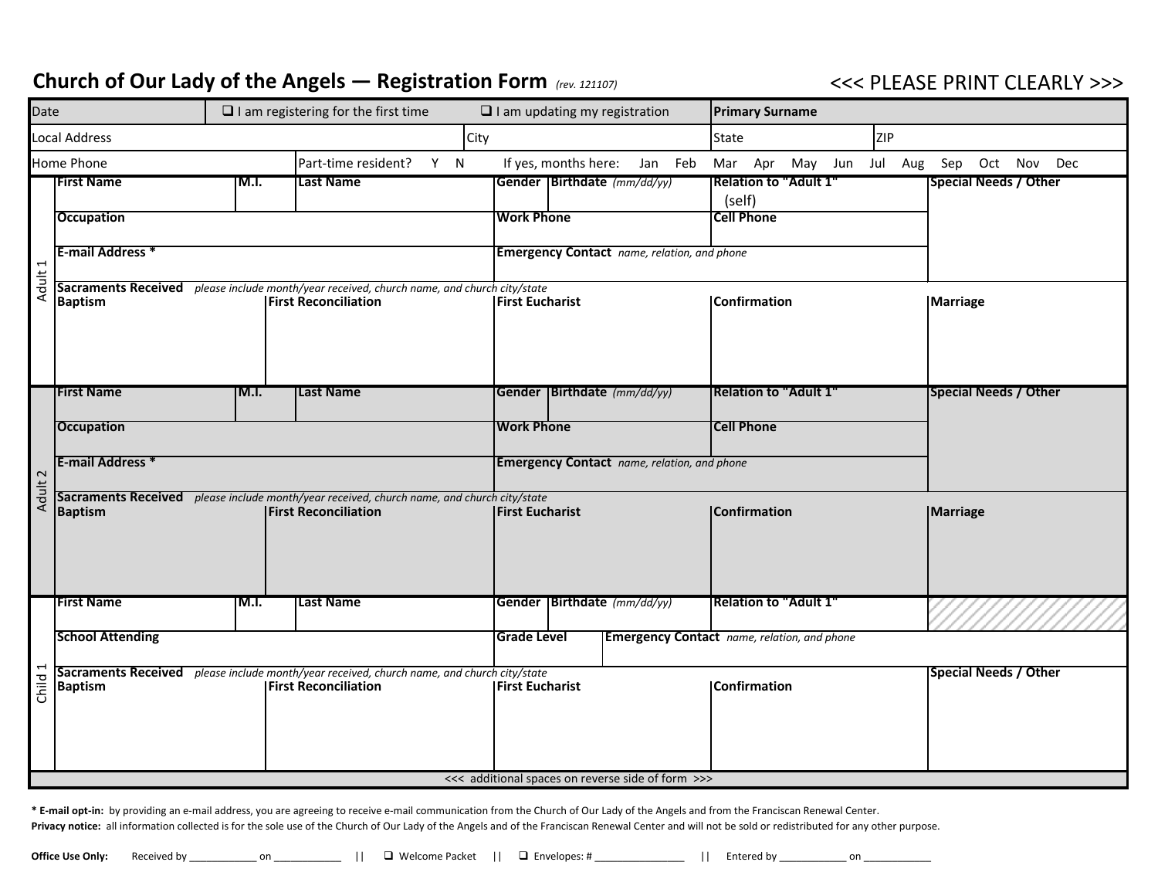## Church of Our Lady of the Angels — Registration Form (rev. 121107) **Sourch 20 and Set 20 and Set 20 and Set 20 and Set 20 and Set 20 and Set 20 and Set 20 and Set 20 and Set 20 and Set 20 and Set 20 and Set 20 and Set 20 a**

| Date                                     |                                                                                                                                                                                     | $\Box$ I am registering for the first time<br>$\Box$ I am updating my registration |                                                                                                                                                                                                         |                                 |                                                    |                                                   | <b>Primary Surname</b>       |                                                    |                 |                              |
|------------------------------------------|-------------------------------------------------------------------------------------------------------------------------------------------------------------------------------------|------------------------------------------------------------------------------------|---------------------------------------------------------------------------------------------------------------------------------------------------------------------------------------------------------|---------------------------------|----------------------------------------------------|---------------------------------------------------|------------------------------|----------------------------------------------------|-----------------|------------------------------|
|                                          | Local Address                                                                                                                                                                       | City                                                                               |                                                                                                                                                                                                         |                                 |                                                    |                                                   |                              | State<br><b>ZIP</b>                                |                 |                              |
| Home Phone<br>Part-time resident?<br>Y N |                                                                                                                                                                                     |                                                                                    |                                                                                                                                                                                                         | If yes, months here:<br>Jan Feb |                                                    |                                                   | Mar Apr May Jun Jul Aug      |                                                    | Sep Oct Nov Dec |                              |
|                                          | <b>First Name</b>                                                                                                                                                                   | IM.I.                                                                              | Last Name                                                                                                                                                                                               |                                 |                                                    | Gender   Birthdate (mm/dd/yy)                     | (self)                       | <b>Relation to "Adult 1"</b>                       |                 | <b>Special Needs / Other</b> |
|                                          | <b>Occupation</b>                                                                                                                                                                   |                                                                                    |                                                                                                                                                                                                         |                                 | <b>Work Phone</b>                                  |                                                   | <b>Cell Phone</b>            |                                                    |                 |                              |
|                                          |                                                                                                                                                                                     |                                                                                    |                                                                                                                                                                                                         |                                 |                                                    |                                                   |                              |                                                    |                 |                              |
| Adult 1                                  | <b>E-mail Address *</b>                                                                                                                                                             |                                                                                    |                                                                                                                                                                                                         |                                 | <b>Emergency Contact</b> name, relation, and phone |                                                   |                              |                                                    |                 |                              |
|                                          | Sacraments Received please include month/year received, church name, and church city/state<br><b>First Reconciliation</b>                                                           |                                                                                    |                                                                                                                                                                                                         |                                 |                                                    |                                                   |                              |                                                    |                 |                              |
|                                          | <b>Baptism</b>                                                                                                                                                                      |                                                                                    |                                                                                                                                                                                                         | <b>IFirst Eucharist</b>         |                                                    |                                                   | <b>Confirmation</b>          |                                                    | Marriage        |                              |
|                                          |                                                                                                                                                                                     |                                                                                    |                                                                                                                                                                                                         |                                 |                                                    |                                                   |                              |                                                    |                 |                              |
|                                          |                                                                                                                                                                                     |                                                                                    |                                                                                                                                                                                                         |                                 |                                                    |                                                   |                              |                                                    |                 |                              |
|                                          | <b>First Name</b>                                                                                                                                                                   | IM.I.                                                                              | <b>Last Name</b>                                                                                                                                                                                        |                                 |                                                    | Gender   Birthdate (mm/dd/yy)                     | <b>Relation to "Adult 1"</b> |                                                    |                 | <b>Special Needs / Other</b> |
|                                          |                                                                                                                                                                                     |                                                                                    |                                                                                                                                                                                                         |                                 |                                                    |                                                   |                              |                                                    |                 |                              |
|                                          | <b>Occupation</b>                                                                                                                                                                   |                                                                                    |                                                                                                                                                                                                         |                                 | <b>Work Phone</b>                                  |                                                   | <b>Cell Phone</b>            |                                                    |                 |                              |
|                                          | <b>E-mail Address *</b>                                                                                                                                                             |                                                                                    |                                                                                                                                                                                                         |                                 | <b>Emergency Contact</b> name, relation, and phone |                                                   |                              |                                                    |                 |                              |
| Adult 2                                  |                                                                                                                                                                                     |                                                                                    | Sacraments Received please include month/year received, church name, and church city/state                                                                                                              |                                 |                                                    |                                                   |                              |                                                    |                 |                              |
|                                          | <b>Baptism</b>                                                                                                                                                                      |                                                                                    | <b>First Reconciliation</b>                                                                                                                                                                             |                                 | <b>First Eucharist</b>                             |                                                   | <b>Confirmation</b>          |                                                    |                 | <b>Marriage</b>              |
|                                          |                                                                                                                                                                                     |                                                                                    |                                                                                                                                                                                                         |                                 |                                                    |                                                   |                              |                                                    |                 |                              |
|                                          |                                                                                                                                                                                     |                                                                                    |                                                                                                                                                                                                         |                                 |                                                    |                                                   |                              |                                                    |                 |                              |
|                                          |                                                                                                                                                                                     |                                                                                    |                                                                                                                                                                                                         |                                 |                                                    |                                                   |                              |                                                    |                 |                              |
|                                          | <b>First Name</b>                                                                                                                                                                   | IM.I.                                                                              | <b>Last Name</b>                                                                                                                                                                                        |                                 |                                                    | Gender   Birthdate (mm/dd/yy)                     |                              | <b>Relation to "Adult 1"</b>                       |                 |                              |
|                                          | <b>School Attending</b>                                                                                                                                                             |                                                                                    |                                                                                                                                                                                                         |                                 | <b>Grade Level</b>                                 |                                                   |                              | <b>Emergency Contact</b> name, relation, and phone |                 |                              |
|                                          |                                                                                                                                                                                     |                                                                                    | Sacraments Received please include month/year received, church name, and church city/state                                                                                                              |                                 |                                                    |                                                   |                              |                                                    |                 | <b>Special Needs / Other</b> |
| Child 1                                  | <b>Baptism</b>                                                                                                                                                                      |                                                                                    | <b>First Reconciliation</b>                                                                                                                                                                             |                                 | <b>IFirst Eucharist</b>                            |                                                   | <b>Confirmation</b>          |                                                    |                 |                              |
|                                          |                                                                                                                                                                                     |                                                                                    |                                                                                                                                                                                                         |                                 |                                                    |                                                   |                              |                                                    |                 |                              |
|                                          |                                                                                                                                                                                     |                                                                                    |                                                                                                                                                                                                         |                                 |                                                    |                                                   |                              |                                                    |                 |                              |
|                                          |                                                                                                                                                                                     |                                                                                    |                                                                                                                                                                                                         |                                 |                                                    |                                                   |                              |                                                    |                 |                              |
|                                          |                                                                                                                                                                                     |                                                                                    |                                                                                                                                                                                                         |                                 |                                                    | <<< additional spaces on reverse side of form >>> |                              |                                                    |                 |                              |
|                                          | * E-mail opt-in: by providing an e-mail address, you are agreeing to receive e-mail communication from the Church of Our Lady of the Angels and from the Franciscan Renewal Center. |                                                                                    |                                                                                                                                                                                                         |                                 |                                                    |                                                   |                              |                                                    |                 |                              |
|                                          |                                                                                                                                                                                     |                                                                                    | Privacy notice: all information collected is for the sole use of the Church of Our Lady of the Angels and of the Franciscan Renewal Center and will not be sold or redistributed for any other purpose. |                                 |                                                    |                                                   |                              |                                                    |                 |                              |
|                                          | Office Use Only:<br>Received by                                                                                                                                                     | on                                                                                 | □ Welcome Packet     □ Envelopes: #                                                                                                                                                                     |                                 |                                                    |                                                   | Entered by                   | on                                                 |                 |                              |